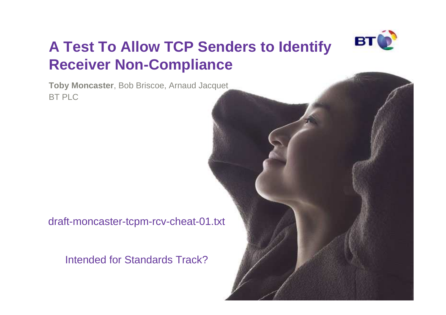

## **A Test To Allow TCP Senders to Identify Receiver Non-Compliance**

**Toby Moncaster**, Bob Briscoe, Arnaud JacquetBT PLC

draft-moncaster-tcpm-rcv-cheat-01.txt

Intended for Standards Track?

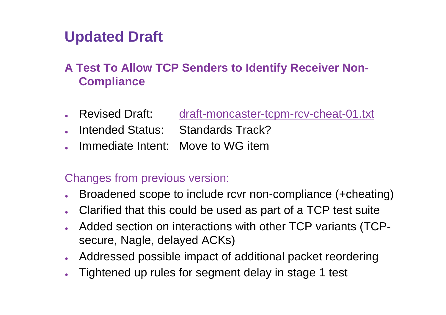## **Updated Draft**

### **A Test To Allow TCP Senders to Identify Receiver Non-Compliance**

- Revised Draft: draft-moncaster-tcpm-rcv-cheat-01.txt
- Intended Status: Standards Track?
- Immediate Intent: Move to WG item

#### Changes from previous version:

- ●Broadened scope to include rcvr non-compliance (+cheating)
- Clarified that this could be used as part of a TCP test suite
- ● Added section on interactions with other TCP variants (TCPsecure, Nagle, delayed ACKs)
- Addressed possible impact of additional packet reordering
- ●Tightened up rules for segment delay in stage 1 test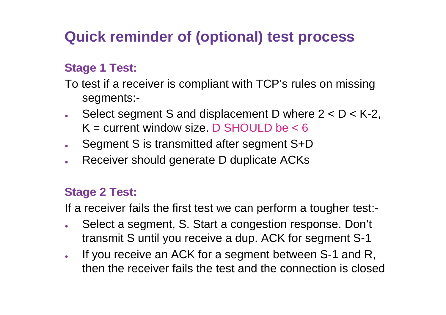## **Quick reminder of (optional) test process**

### **Stage 1 Test:**

- To test if a receiver is compliant with TCP's rules on missing segments:-
- ●Select segment S and displacement D where  $2 < D < K-2$ ,  $K =$  current window size. D SHOULD be  $< 6$
- ●Segment S is transmitted after segment S+D
- Receiver should generate D duplicate ACKs●

#### **Stage 2 Test:**

If a receiver fails the first test we can perform a tougher test:-

- ● Select a segment, S. Start a congestion response. Don't transmit S until you receive a dup. ACK for segment S-1
- ● If you receive an ACK for a segment between S-1 and R, then the receiver fails the test and the connection is closed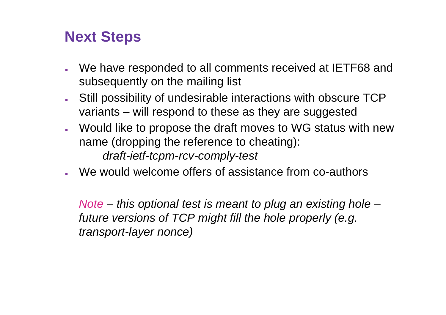### **Next Steps**

- We have responded to all comments received at IETF68 and subsequently on the mailing list
- Still possibility of undesirable interactions with obscure TCP variants – will respond to these as they are suggested
- Would like to propose the draft moves to WG status with new name (dropping the reference to cheating):draft-ietf-tcpm-rcv-comply-test
- We would welcome offers of assistance from co-authors

Note – this optional test is meant to plug an existing hole – future versions of TCP might fill the hole properly (e.g. transport-layer nonce)